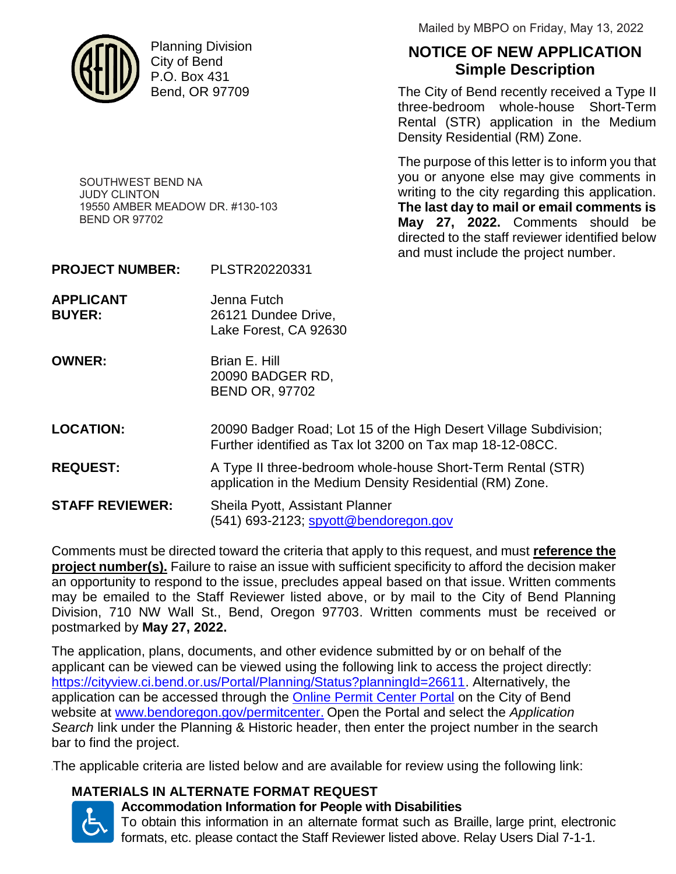

Planning Division City of Bend P.O. Box 431 Bend, OR 97709

Mailed by MBPO on Friday, May 13, 2022

# **NOTICE OF NEW APPLICATION Simple Description**

The City of Bend recently received a Type II three-bedroom whole-house Short-Term Rental (STR) application in the Medium Density Residential (RM) Zone.

The purpose of this letter is to inform you that you or anyone else may give comments in writing to the city regarding this application. **The last day to mail or email comments is May 27, 2022.** Comments should be directed to the staff reviewer identified below and must include the project number.

19550 AMBER MEADOW DR. #130-103 BEND OR 97702

SOUTHWEST BEND NA

JUDY CLINTON

- **PROJECT NUMBER:** PLSTR20220331
- **APPLICANT** Jenna Futch **BUYER:** 26121 Dundee Drive, Lake Forest, CA 92630
- **OWNER:** Brian E. Hill 20090 BADGER RD, BEND OR, 97702
- **LOCATION:** 20090 Badger Road; Lot 15 of the High Desert Village Subdivision; Further identified as Tax lot 3200 on Tax map 18-12-08CC.
- **REQUEST:** A Type II three-bedroom whole-house Short-Term Rental (STR) application in the Medium Density Residential (RM) Zone.
- **STAFF REVIEWER:** Sheila Pyott, Assistant Planner (541) 693-2123; spyott@bendoregon.gov

Comments must be directed toward the criteria that apply to this request, and must **reference the project number(s).** Failure to raise an issue with sufficient specificity to afford the decision maker an opportunity to respond to the issue, precludes appeal based on that issue. Written comments may be emailed to the Staff Reviewer listed above, or by mail to the City of Bend Planning Division, 710 NW Wall St., Bend, Oregon 97703. Written comments must be received or postmarked by **May 27, 2022.**

The application, plans, documents, and other evidence submitted by or on behalf of the applicant can be viewed can be viewed using the following link to access the project directly: https://cityview.ci.bend.or.us/Portal/Planning/Status?planningId=26611. Alternatively, the application can be accessed through the **Online Permit Center Portal on the City of Bend** website at www.bendoregon.gov/permitcenter. Open the Portal and select the *Application Search* link under the Planning & Historic header, then enter the project number in the search bar to find the project.

<sup>1</sup>The applicable criteria are listed below and are available for review using the following link:

## **MATERIALS IN ALTERNATE FORMAT REQUEST**



# **Accommodation Information for People with Disabilities**

To obtain this information in an alternate format such as Braille, large print, electronic formats, etc. please contact the Staff Reviewer listed above. Relay Users Dial 7-1-1.